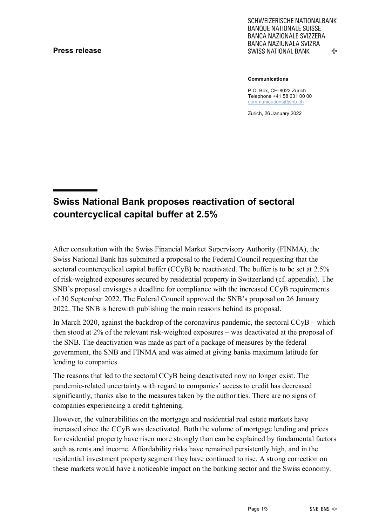### **Press release**

SCHWEIZERISCHE NATIONALBANK **BANQUE NATIONALE SUISSE BANCA NAZIONALE SVIZZERA** BANCA NAZIUNALA SVIZRA ሩን **SWISS NATIONAL BANK** 

**Communications**

P.O. Box, CH-8022 Zurich Telephone +41 58 631 00 00 [communications@snb.ch](mailto:communications@snb.ch)

Zurich, 26 January 2022

# **Swiss National Bank proposes reactivation of sectoral countercyclical capital buffer at 2.5%**

After consultation with the Swiss Financial Market Supervisory Authority (FINMA), the Swiss National Bank has submitted a proposal to the Federal Council requesting that the sectoral countercyclical capital buffer (CCyB) be reactivated. The buffer is to be set at 2.5% of risk-weighted exposures secured by residential property in Switzerland (cf. appendix). The SNB's proposal envisages a deadline for compliance with the increased CCyB requirements of 30 September 2022. The Federal Council approved the SNB's proposal on 26 January 2022. The SNB is herewith publishing the main reasons behind its proposal.

In March 2020, against the backdrop of the coronavirus pandemic, the sectoral CCyB – which then stood at 2% of the relevant risk-weighted exposures – was deactivated at the proposal of the SNB. The deactivation was made as part of a package of measures by the federal government, the SNB and FINMA and was aimed at giving banks maximum latitude for lending to companies.

The reasons that led to the sectoral CCyB being deactivated now no longer exist. The pandemic-related uncertainty with regard to companies' access to credit has decreased significantly, thanks also to the measures taken by the authorities. There are no signs of companies experiencing a credit tightening.

However, the vulnerabilities on the mortgage and residential real estate markets have increased since the CCyB was deactivated. Both the volume of mortgage lending and prices for residential property have risen more strongly than can be explained by fundamental factors such as rents and income. Affordability risks have remained persistently high, and in the residential investment property segment they have continued to rise. A strong correction on these markets would have a noticeable impact on the banking sector and the Swiss economy.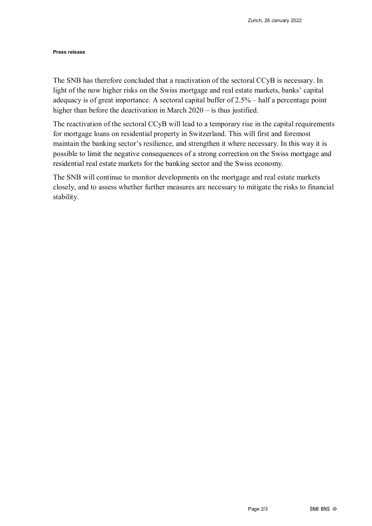#### **Press release**

The SNB has therefore concluded that a reactivation of the sectoral CCyB is necessary. In light of the now higher risks on the Swiss mortgage and real estate markets, banks' capital adequacy is of great importance. A sectoral capital buffer of 2.5% – half a percentage point higher than before the deactivation in March 2020 – is thus justified.

The reactivation of the sectoral CCyB will lead to a temporary rise in the capital requirements for mortgage loans on residential property in Switzerland. This will first and foremost maintain the banking sector's resilience, and strengthen it where necessary. In this way it is possible to limit the negative consequences of a strong correction on the Swiss mortgage and residential real estate markets for the banking sector and the Swiss economy.

The SNB will continue to monitor developments on the mortgage and real estate markets closely, and to assess whether further measures are necessary to mitigate the risks to financial stability.